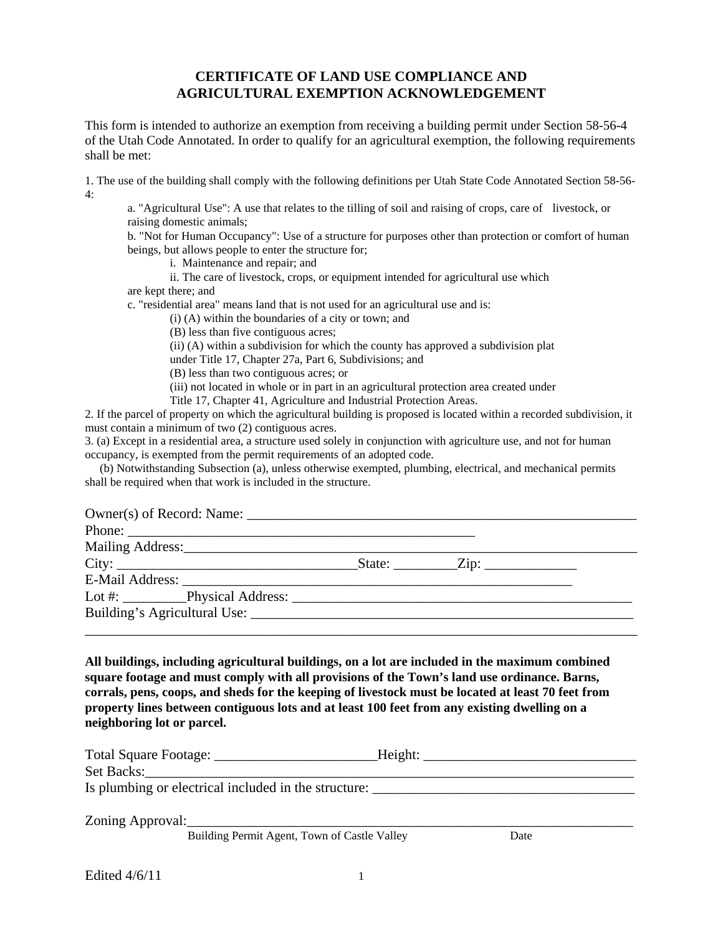## **CERTIFICATE OF LAND USE COMPLIANCE AND AGRICULTURAL EXEMPTION ACKNOWLEDGEMENT**

This form is intended to authorize an exemption from receiving a building permit under Section 58-56-4 of the Utah Code Annotated. In order to qualify for an agricultural exemption, the following requirements shall be met:

1. The use of the building shall comply with the following definitions per Utah State Code Annotated Section 58-56- 4:

a. "Agricultural Use": A use that relates to the tilling of soil and raising of crops, care of livestock, or raising domestic animals;

b. "Not for Human Occupancy": Use of a structure for purposes other than protection or comfort of human beings, but allows people to enter the structure for;

i. Maintenance and repair; and

 ii. The care of livestock, crops, or equipment intended for agricultural use which are kept there; and

c. "residential area" means land that is not used for an agricultural use and is:

(i) (A) within the boundaries of a city or town; and

(B) less than five contiguous acres;

(ii) (A) within a subdivision for which the county has approved a subdivision plat

under Title 17, Chapter 27a, Part 6, Subdivisions; and

(B) less than two contiguous acres; or

(iii) not located in whole or in part in an agricultural protection area created under

Title 17, Chapter 41, Agriculture and Industrial Protection Areas.

2. If the parcel of property on which the agricultural building is proposed is located within a recorded subdivision, it must contain a minimum of two (2) contiguous acres.

3. (a) Except in a residential area, a structure used solely in conjunction with agriculture use, and not for human occupancy, is exempted from the permit requirements of an adopted code.

 (b) Notwithstanding Subsection (a), unless otherwise exempted, plumbing, electrical, and mechanical permits shall be required when that work is included in the structure.

| Phone: |  |  |
|--------|--|--|
|        |  |  |
|        |  |  |
|        |  |  |
|        |  |  |
|        |  |  |
|        |  |  |

**All buildings, including agricultural buildings, on a lot are included in the maximum combined square footage and must comply with all provisions of the Town's land use ordinance. Barns, corrals, pens, coops, and sheds for the keeping of livestock must be located at least 70 feet from property lines between contiguous lots and at least 100 feet from any existing dwelling on a neighboring lot or parcel.** 

|                                                                                  | Height: |  |  |  |  |  |  |
|----------------------------------------------------------------------------------|---------|--|--|--|--|--|--|
|                                                                                  |         |  |  |  |  |  |  |
| Is plumbing or electrical included in the structure: ___________________________ |         |  |  |  |  |  |  |
|                                                                                  |         |  |  |  |  |  |  |
| Zoning Approval:                                                                 |         |  |  |  |  |  |  |
| Building Permit Agent, Town of Castle Valley                                     | Date    |  |  |  |  |  |  |